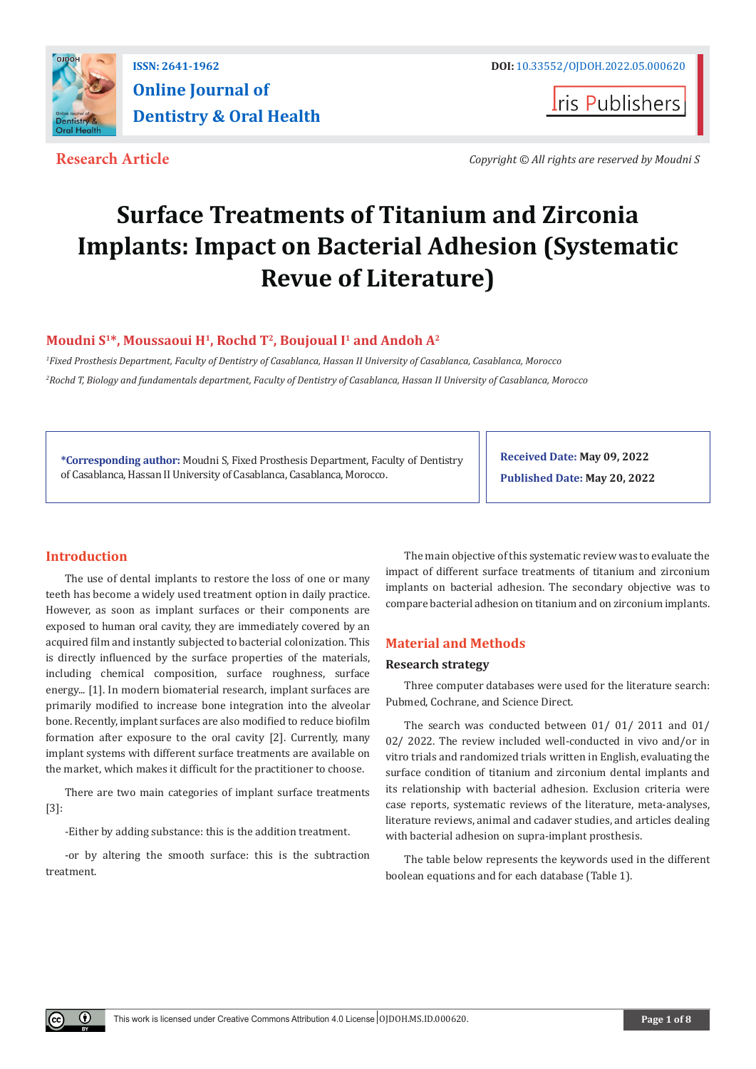

**Iris Publishers** 

**Research Article** *Copyright © All rights are reserved by Moudni S*

# **Surface Treatments of Titanium and Zirconia Implants: Impact on Bacterial Adhesion (Systematic Revue of Literature)**

# Moudni S<sup>1\*</sup>, Moussaoui H<sup>1</sup>, Rochd T<sup>2</sup>, Boujoual I<sup>1</sup> and Andoh A<sup>2</sup>

*1 Fixed Prosthesis Department, Faculty of Dentistry of Casablanca, Hassan II University of Casablanca, Casablanca, Morocco 2 Rochd T, Biology and fundamentals department, Faculty of Dentistry of Casablanca, Hassan II University of Casablanca, Morocco*

**\*Corresponding author:** Moudni S, Fixed Prosthesis Department, Faculty of Dentistry of Casablanca, Hassan II University of Casablanca, Casablanca, Morocco.

**Received Date: May 09, 2022 Published Date: May 20, 2022**

# **Introduction**

 $\odot$ 

The use of dental implants to restore the loss of one or many teeth has become a widely used treatment option in daily practice. However, as soon as implant surfaces or their components are exposed to human oral cavity, they are immediately covered by an acquired film and instantly subjected to bacterial colonization. This is directly influenced by the surface properties of the materials, including chemical composition, surface roughness, surface energy... [1]. In modern biomaterial research, implant surfaces are primarily modified to increase bone integration into the alveolar bone. Recently, implant surfaces are also modified to reduce biofilm formation after exposure to the oral cavity [2]. Currently, many implant systems with different surface treatments are available on the market, which makes it difficult for the practitioner to choose.

There are two main categories of implant surface treatments [3]:

-Either by adding substance: this is the addition treatment.

-or by altering the smooth surface: this is the subtraction treatment.

The main objective of this systematic review was to evaluate the impact of different surface treatments of titanium and zirconium implants on bacterial adhesion. The secondary objective was to compare bacterial adhesion on titanium and on zirconium implants.

# **Material and Methods**

## **Research strategy**

Three computer databases were used for the literature search: Pubmed, Cochrane, and Science Direct.

The search was conducted between 01/ 01/ 2011 and 01/ 02/ 2022. The review included well-conducted in vivo and/or in vitro trials and randomized trials written in English, evaluating the surface condition of titanium and zirconium dental implants and its relationship with bacterial adhesion. Exclusion criteria were case reports, systematic reviews of the literature, meta-analyses, literature reviews, animal and cadaver studies, and articles dealing with bacterial adhesion on supra-implant prosthesis.

The table below represents the keywords used in the different boolean equations and for each database (Table 1).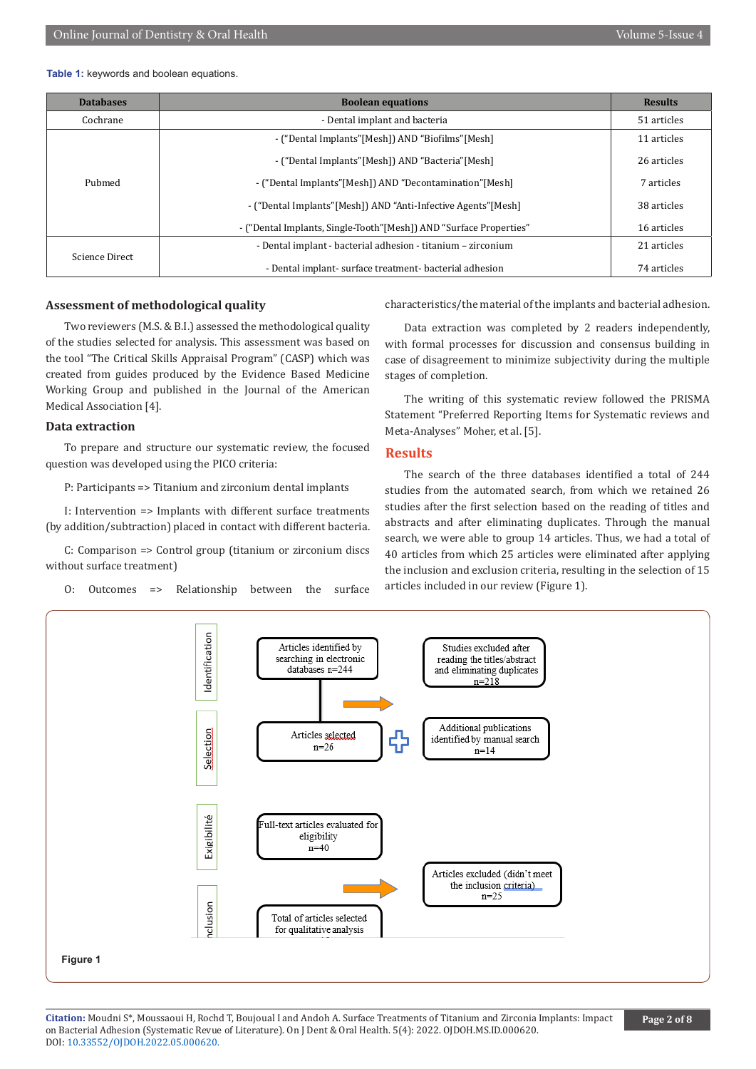#### **Table 1:** keywords and boolean equations.

| <b>Databases</b> | <b>Boolean equations</b>                                           | <b>Results</b> |
|------------------|--------------------------------------------------------------------|----------------|
| Cochrane         | - Dental implant and bacteria                                      | 51 articles    |
|                  | - ("Dental Implants" [Mesh]) AND "Biofilms" [Mesh]                 | 11 articles    |
|                  | - ("Dental Implants" [Mesh]) AND "Bacteria" [Mesh]                 | 26 articles    |
| Pubmed           | - ("Dental Implants"[Mesh]) AND "Decontamination"[Mesh]            | 7 articles     |
|                  | - ("Dental Implants" [Mesh]) AND "Anti-Infective Agents" [Mesh]    | 38 articles    |
|                  | - ("Dental Implants, Single-Tooth"[Mesh]) AND "Surface Properties" | 16 articles    |
| Science Direct   | - Dental implant - bacterial adhesion - titanium - zirconium       | 21 articles    |
|                  | - Dental implant-surface treatment-bacterial adhesion              | 74 articles    |

#### **Assessment of methodological quality**

Two reviewers (M.S. & B.I.) assessed the methodological quality of the studies selected for analysis. This assessment was based on the tool "The Critical Skills Appraisal Program" (CASP) which was created from guides produced by the Evidence Based Medicine Working Group and published in the Journal of the American Medical Association [4].

#### **Data extraction**

To prepare and structure our systematic review, the focused question was developed using the PICO criteria:

P: Participants => Titanium and zirconium dental implants

I: Intervention => Implants with different surface treatments (by addition/subtraction) placed in contact with different bacteria.

C: Comparison => Control group (titanium or zirconium discs without surface treatment)

O: Outcomes => Relationship between the surface

characteristics/the material of the implants and bacterial adhesion.

Data extraction was completed by 2 readers independently, with formal processes for discussion and consensus building in case of disagreement to minimize subjectivity during the multiple stages of completion.

The writing of this systematic review followed the PRISMA Statement "Preferred Reporting Items for Systematic reviews and Meta-Analyses" Moher, et al. [5].

### **Results**

The search of the three databases identified a total of 244 studies from the automated search, from which we retained 26 studies after the first selection based on the reading of titles and abstracts and after eliminating duplicates. Through the manual search, we were able to group 14 articles. Thus, we had a total of 40 articles from which 25 articles were eliminated after applying the inclusion and exclusion criteria, resulting in the selection of 15 articles included in our review (Figure 1).



**Citation:** Moudni S\*, Moussaoui H, Rochd T, Boujoual I and Andoh A. Surface Treatments of Titanium and Zirconia Implants: Impact on Bacterial Adhesion (Systematic Revue of Literature). On J Dent & Oral Health. 5(4): 2022. OJDOH.MS.ID.000620. DOI: [10.33552/OJDOH.2022.05.000620](http://dx.doi.org/10.33552/OJDOH.2022.05.000620).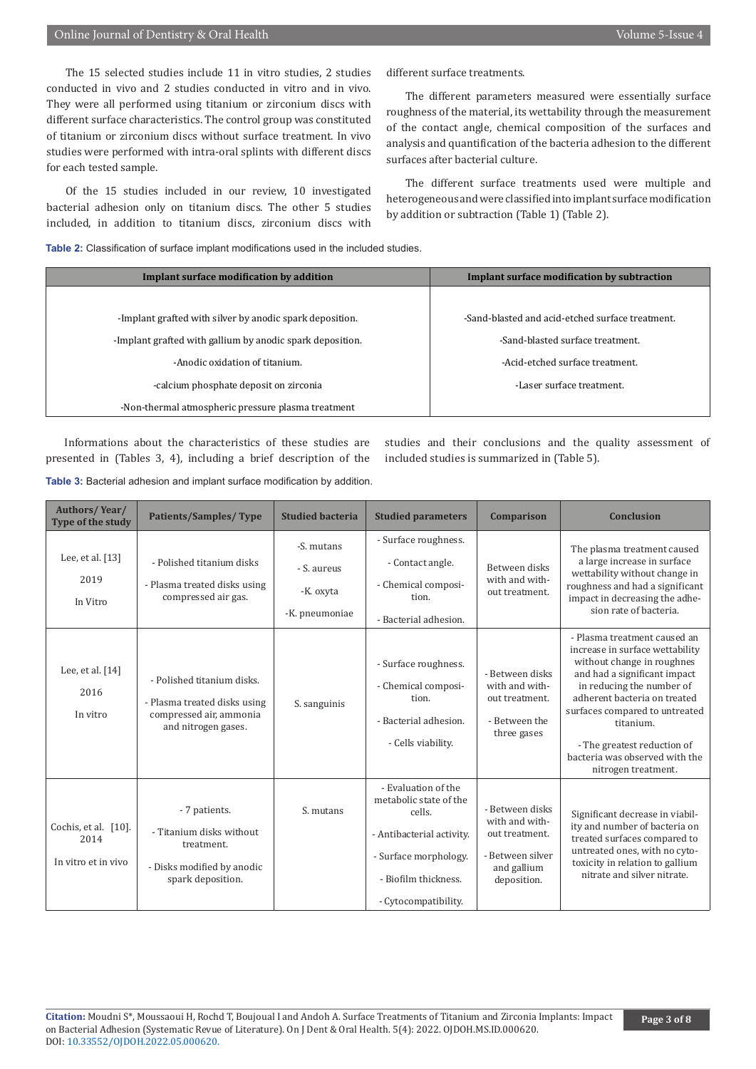## Online Journal of Dentistry & Oral Health Volume 5-Issue 4

The 15 selected studies include 11 in vitro studies, 2 studies conducted in vivo and 2 studies conducted in vitro and in vivo. They were all performed using titanium or zirconium discs with different surface characteristics. The control group was constituted of titanium or zirconium discs without surface treatment. In vivo studies were performed with intra-oral splints with different discs for each tested sample.

Of the 15 studies included in our review, 10 investigated bacterial adhesion only on titanium discs. The other 5 studies included, in addition to titanium discs, zirconium discs with different surface treatments.

The different parameters measured were essentially surface roughness of the material, its wettability through the measurement of the contact angle, chemical composition of the surfaces and analysis and quantification of the bacteria adhesion to the different surfaces after bacterial culture.

The different surface treatments used were multiple and heterogeneous and were classified into implant surface modification by addition or subtraction (Table 1) (Table 2).

**Table 2:** Classification of surface implant modifications used in the included studies.

| Implant surface modification by addition                  | Implant surface modification by subtraction      |
|-----------------------------------------------------------|--------------------------------------------------|
|                                                           |                                                  |
| -Implant grafted with silver by anodic spark deposition.  | -Sand-blasted and acid-etched surface treatment. |
| -Implant grafted with gallium by anodic spark deposition. | -Sand-blasted surface treatment.                 |
| -Anodic oxidation of titanium.                            | -Acid-etched surface treatment.                  |
| -calcium phosphate deposit on zirconia                    | -Laser surface treatment.                        |
| -Non-thermal atmospheric pressure plasma treatment        |                                                  |

Informations about the characteristics of these studies are presented in (Tables 3, 4), including a brief description of the studies and their conclusions and the quality assessment of included studies is summarized in (Table 5).

Table 3: Bacterial adhesion and implant surface modification by addition.

| <b>Authors/Year/</b><br>Type of the study           | <b>Patients/Samples/Type</b>                                                                                 | <b>Studied bacteria</b>                                  | <b>Studied parameters</b>                                                                                                                                     | Comparison                                                                                            | <b>Conclusion</b>                                                                                                                                                                                                                                                                                                                 |
|-----------------------------------------------------|--------------------------------------------------------------------------------------------------------------|----------------------------------------------------------|---------------------------------------------------------------------------------------------------------------------------------------------------------------|-------------------------------------------------------------------------------------------------------|-----------------------------------------------------------------------------------------------------------------------------------------------------------------------------------------------------------------------------------------------------------------------------------------------------------------------------------|
| Lee, et al. [13]<br>2019<br>In Vitro                | - Polished titanium disks<br>- Plasma treated disks using<br>compressed air gas.                             | -S. mutans<br>- S. aureus<br>-K. oxyta<br>-K. pneumoniae | - Surface roughness.<br>- Contact angle.<br>- Chemical composi-<br>tion.<br>- Bacterial adhesion.                                                             | Between disks<br>with and with-<br>out treatment.                                                     | The plasma treatment caused<br>a large increase in surface<br>wettability without change in<br>roughness and had a significant<br>impact in decreasing the adhe-<br>sion rate of bacteria.                                                                                                                                        |
| Lee, et al. $[14]$<br>2016<br>In vitro              | - Polished titanium disks.<br>- Plasma treated disks using<br>compressed air, ammonia<br>and nitrogen gases. | S. sanguinis                                             | - Surface roughness.<br>- Chemical composi-<br>tion.<br>- Bacterial adhesion.<br>- Cells viability.                                                           | - Between disks<br>with and with-<br>out treatment.<br>- Between the<br>three gases                   | - Plasma treatment caused an<br>increase in surface wettability<br>without change in roughnes<br>and had a significant impact<br>in reducing the number of<br>adherent bacteria on treated<br>surfaces compared to untreated<br>titanium.<br>- The greatest reduction of<br>bacteria was observed with the<br>nitrogen treatment. |
| Cochis, et al. [10].<br>2014<br>In vitro et in vivo | - 7 patients.<br>- Titanium disks without<br>treatment.<br>- Disks modified by anodic<br>spark deposition.   | S. mutans                                                | - Evaluation of the<br>metabolic state of the<br>cells.<br>- Antibacterial activity.<br>- Surface morphology.<br>- Biofilm thickness.<br>- Cytocompatibility. | - Between disks<br>with and with-<br>out treatment.<br>- Between silver<br>and gallium<br>deposition. | Significant decrease in viabil-<br>ity and number of bacteria on<br>treated surfaces compared to<br>untreated ones, with no cyto-<br>toxicity in relation to gallium<br>nitrate and silver nitrate.                                                                                                                               |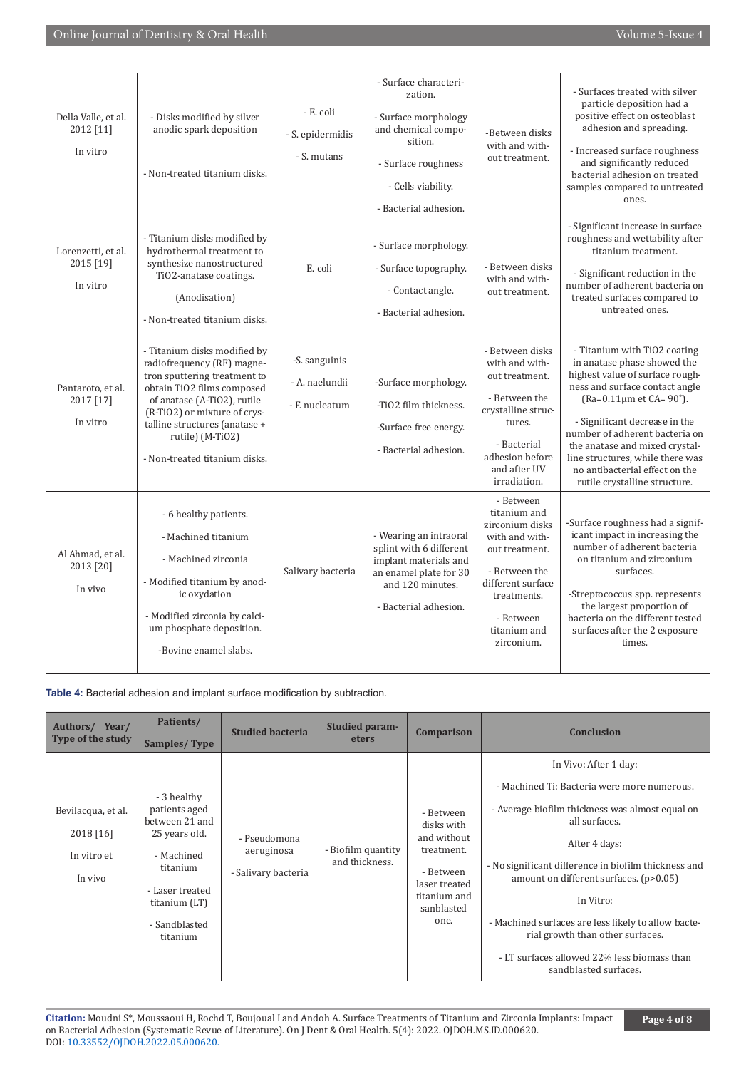# Online Journal of Dentistry & Oral Health Volume 5-Issue 4

| Della Valle, et al.<br>2012 [11]<br>In vitro | - Disks modified by silver<br>anodic spark deposition<br>- Non-treated titanium disks.                                                                                                                                                                                        | - E. coli<br>- S. epidermidis<br>- S. mutans      | - Surface characteri-<br>zation.<br>- Surface morphology<br>and chemical compo-<br>sition.<br>- Surface roughness<br>- Cells viability.<br>- Bacterial adhesion. | -Between disks<br>with and with-<br>out treatment.                                                                                                                               | - Surfaces treated with silver<br>particle deposition had a<br>positive effect on osteoblast<br>adhesion and spreading.<br>- Increased surface roughness<br>and significantly reduced<br>bacterial adhesion on treated<br>samples compared to untreated<br>ones.                                                                                                                             |
|----------------------------------------------|-------------------------------------------------------------------------------------------------------------------------------------------------------------------------------------------------------------------------------------------------------------------------------|---------------------------------------------------|------------------------------------------------------------------------------------------------------------------------------------------------------------------|----------------------------------------------------------------------------------------------------------------------------------------------------------------------------------|----------------------------------------------------------------------------------------------------------------------------------------------------------------------------------------------------------------------------------------------------------------------------------------------------------------------------------------------------------------------------------------------|
| Lorenzetti, et al.<br>2015 [19]<br>In vitro  | - Titanium disks modified by<br>hydrothermal treatment to<br>synthesize nanostructured<br>TiO2-anatase coatings.<br>(Anodisation)<br>- Non-treated titanium disks.                                                                                                            | E. coli                                           | - Surface morphology.<br>- Surface topography.<br>- Contact angle.<br>- Bacterial adhesion.                                                                      | - Between disks<br>with and with-<br>out treatment.                                                                                                                              | - Significant increase in surface<br>roughness and wettability after<br>titanium treatment.<br>- Significant reduction in the<br>number of adherent bacteria on<br>treated surfaces compared to<br>untreated ones.                                                                                                                                                                           |
| Pantaroto, et al.<br>2017 [17]<br>In vitro   | - Titanium disks modified by<br>radiofrequency (RF) magne-<br>tron sputtering treatment to<br>obtain TiO2 films composed<br>of anatase (A-TiO2), rutile<br>(R-TiO2) or mixture of crys-<br>talline structures (anatase +<br>rutile) (M-TiO2)<br>- Non-treated titanium disks. | -S. sanguinis<br>- A. naelundii<br>- F. nucleatum | -Surface morphology.<br>-TiO2 film thickness.<br>-Surface free energy.<br>- Bacterial adhesion.                                                                  | - Between disks<br>with and with-<br>out treatment.<br>- Between the<br>crystalline struc-<br>tures.<br>- Bacterial<br>adhesion before<br>and after UV<br>irradiation.           | - Titanium with TiO2 coating<br>in anatase phase showed the<br>highest value of surface rough-<br>ness and surface contact angle<br>$(Ra=0.11 \mu m \text{ et } CA=90^{\circ}).$<br>- Significant decrease in the<br>number of adherent bacteria on<br>the anatase and mixed crystal-<br>line structures, while there was<br>no antibacterial effect on the<br>rutile crystalline structure. |
| Al Ahmad, et al.<br>2013 [20]<br>In vivo     | - 6 healthy patients.<br>- Machined titanium<br>- Machined zirconia<br>- Modified titanium by anod-<br>ic oxydation<br>- Modified zirconia by calci-<br>um phosphate deposition.<br>-Bovine enamel slabs.                                                                     | Salivary bacteria                                 | - Wearing an intraoral<br>splint with 6 different<br>implant materials and<br>an enamel plate for 30<br>and 120 minutes.<br>- Bacterial adhesion.                | - Between<br>titanium and<br>zirconium disks<br>with and with-<br>out treatment.<br>- Between the<br>different surface<br>treatments.<br>- Between<br>titanium and<br>zirconium. | -Surface roughness had a signif-<br>icant impact in increasing the<br>number of adherent bacteria<br>on titanium and zirconium<br>surfaces.<br>-Streptococcus spp. represents<br>the largest proportion of<br>bacteria on the different tested<br>surfaces after the 2 exposure<br>times.                                                                                                    |

**Table 4:** Bacterial adhesion and implant surface modification by subtraction.

| Authors/ Year/<br>Type of the study                       | Patients/<br><b>Samples/Type</b>                                                                                                                           | <b>Studied bacteria</b>                           | Studied param-<br>eters              | Comparison                                                                                                               | <b>Conclusion</b>                                                                                                                                                                                                                                                                                                                                                                                                                           |
|-----------------------------------------------------------|------------------------------------------------------------------------------------------------------------------------------------------------------------|---------------------------------------------------|--------------------------------------|--------------------------------------------------------------------------------------------------------------------------|---------------------------------------------------------------------------------------------------------------------------------------------------------------------------------------------------------------------------------------------------------------------------------------------------------------------------------------------------------------------------------------------------------------------------------------------|
| Bevilacqua, et al.<br>2018 [16]<br>In vitro et<br>In vivo | - 3 healthy<br>patients aged<br>between 21 and<br>25 years old.<br>- Machined<br>titanium<br>- Laser treated<br>titanium (LT)<br>- Sandblasted<br>titanium | - Pseudomona<br>aeruginosa<br>- Salivary bacteria | - Biofilm quantity<br>and thickness. | - Between<br>disks with<br>and without<br>treatment.<br>- Between<br>laser treated<br>titanium and<br>sanblasted<br>one. | In Vivo: After 1 day:<br>- Machined Ti: Bacteria were more numerous.<br>- Average biofilm thickness was almost equal on<br>all surfaces.<br>After 4 days:<br>- No significant difference in biofilm thickness and<br>amount on different surfaces. (p>0.05)<br>In Vitro:<br>- Machined surfaces are less likely to allow bacte-<br>rial growth than other surfaces.<br>- LT surfaces allowed 22% less biomass than<br>sandblasted surfaces. |

**Citation:** Moudni S\*, Moussaoui H, Rochd T, Boujoual I and Andoh A. Surface Treatments of Titanium and Zirconia Implants: Impact on Bacterial Adhesion (Systematic Revue of Literature). On J Dent & Oral Health. 5(4): 2022. OJDOH.MS.ID.000620. DOI: [10.33552/OJDOH.2022.05.000620](http://dx.doi.org/10.33552/OJDOH.2022.05.000620).

**Page 4 of 8**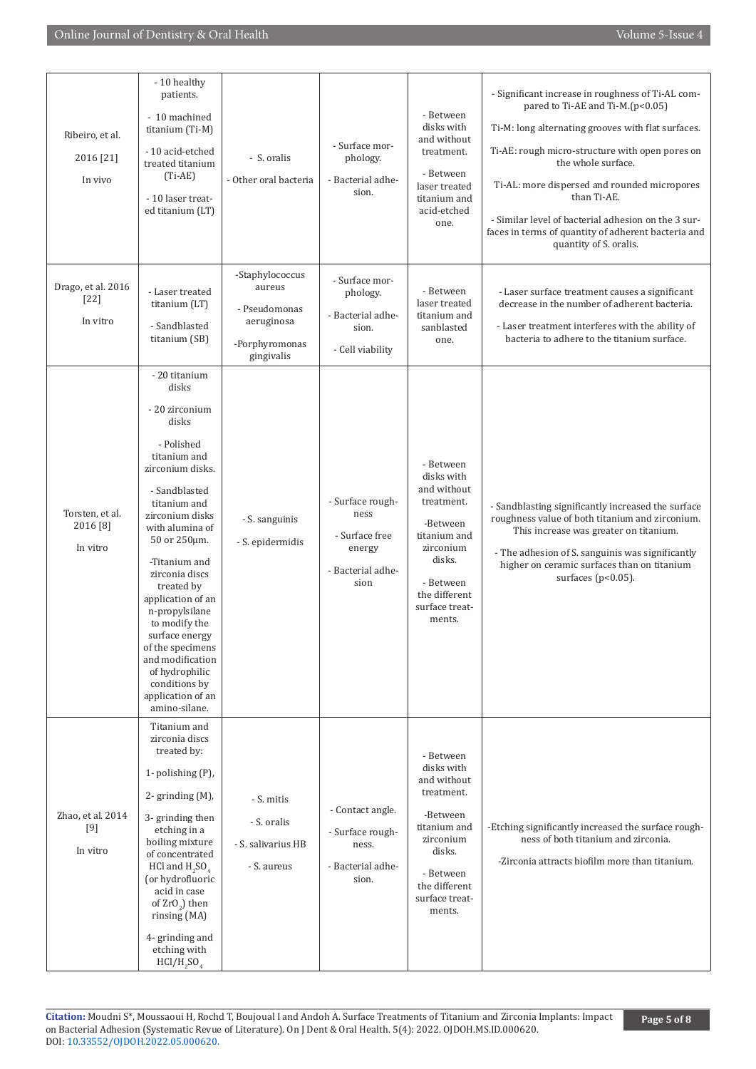| Ribeiro, et al.<br>2016 [21]<br>In vivo | - 10 healthy<br>patients.<br>- 10 machined<br>titanium (Ti-M)<br>- 10 acid-etched<br>treated titanium<br>$(Ti-AE)$<br>- 10 laser treat-<br>ed titanium (LT)                                                                                                                                                                                                                                                                            | - S. oralis<br>- Other oral bacteria                                                     | - Surface mor-<br>phology.<br>- Bacterial adhe-<br>sion.                          | - Between<br>disks with<br>and without<br>treatment.<br>- Between<br>laser treated<br>titanium and<br>acid-etched<br>one.                                         | - Significant increase in roughness of Ti-AL com-<br>pared to Ti-AE and Ti-M.(p<0.05)<br>Ti-M: long alternating grooves with flat surfaces.<br>Ti-AE: rough micro-structure with open pores on<br>the whole surface.<br>Ti-AL: more dispersed and rounded micropores<br>than Ti-AE.<br>- Similar level of bacterial adhesion on the 3 sur-<br>faces in terms of quantity of adherent bacteria and<br>quantity of S. oralis. |
|-----------------------------------------|----------------------------------------------------------------------------------------------------------------------------------------------------------------------------------------------------------------------------------------------------------------------------------------------------------------------------------------------------------------------------------------------------------------------------------------|------------------------------------------------------------------------------------------|-----------------------------------------------------------------------------------|-------------------------------------------------------------------------------------------------------------------------------------------------------------------|-----------------------------------------------------------------------------------------------------------------------------------------------------------------------------------------------------------------------------------------------------------------------------------------------------------------------------------------------------------------------------------------------------------------------------|
| Drago, et al. 2016<br>[22]<br>In vitro  | - Laser treated<br>titanium (LT)<br>- Sandblasted<br>titanium (SB)                                                                                                                                                                                                                                                                                                                                                                     | -Staphylococcus<br>aureus<br>- Pseudomonas<br>aeruginosa<br>-Porphyromonas<br>gingivalis | - Surface mor-<br>phology.<br>- Bacterial adhe-<br>sion.<br>- Cell viability      | - Between<br>laser treated<br>titanium and<br>sanblasted<br>one.                                                                                                  | - Laser surface treatment causes a significant<br>decrease in the number of adherent bacteria.<br>- Laser treatment interferes with the ability of<br>bacteria to adhere to the titanium surface.                                                                                                                                                                                                                           |
| Torsten, et al.<br>2016 [8]<br>In vitro | - 20 titanium<br>disks<br>- 20 zirconium<br>disks<br>- Polished<br>titanium and<br>zirconium disks.<br>- Sandblasted<br>titanium and<br>zirconium disks<br>with alumina of<br>50 or 250μm.<br>-Titanium and<br>zirconia discs<br>treated by<br>application of an<br>n-propylsilane<br>to modify the<br>surface energy<br>of the specimens<br>and modification<br>of hydrophilic<br>conditions by<br>application of an<br>amino-silane. | - S. sanguinis<br>- S. epidermidis                                                       | - Surface rough-<br>ness<br>- Surface free<br>energy<br>- Bacterial adhe-<br>sion | - Between<br>disks with<br>and without<br>treatment.<br>-Between<br>titanium and<br>zirconium<br>disks.<br>- Between<br>the different<br>surface treat-<br>ments. | - Sandblasting significantly increased the surface<br>roughness value of both titanium and zirconium.<br>This increase was greater on titanium.<br>- The adhesion of S. sanguinis was significantly<br>higher on ceramic surfaces than on titanium<br>surfaces ( $p<0.05$ ).                                                                                                                                                |
| Zhao, et al. 2014<br>$[9]$<br>In vitro  | Titanium and<br>zirconia discs<br>treated by:<br>1- polishing (P),<br>$2$ - grinding $(M)$ ,<br>3- grinding then<br>etching in a<br>boiling mixture<br>of concentrated<br>HCl and $H_2SO_4$<br>(or hydrofluoric<br>acid in case<br>of ZrO <sub>2</sub> ) then<br>rinsing (MA)<br>4- grinding and<br>etching with<br>$HCI/H$ , $SOa$                                                                                                    | - S. mitis<br>- S. oralis<br>- S. salivarius HB<br>- S. aureus                           | - Contact angle.<br>- Surface rough-<br>ness.<br>- Bacterial adhe-<br>sion.       | - Between<br>disks with<br>and without<br>treatment.<br>-Between<br>titanium and<br>zirconium<br>disks.<br>- Between<br>the different<br>surface treat-<br>ments. | -Etching significantly increased the surface rough-<br>ness of both titanium and zirconia.<br>-Zirconia attracts biofilm more than titanium.                                                                                                                                                                                                                                                                                |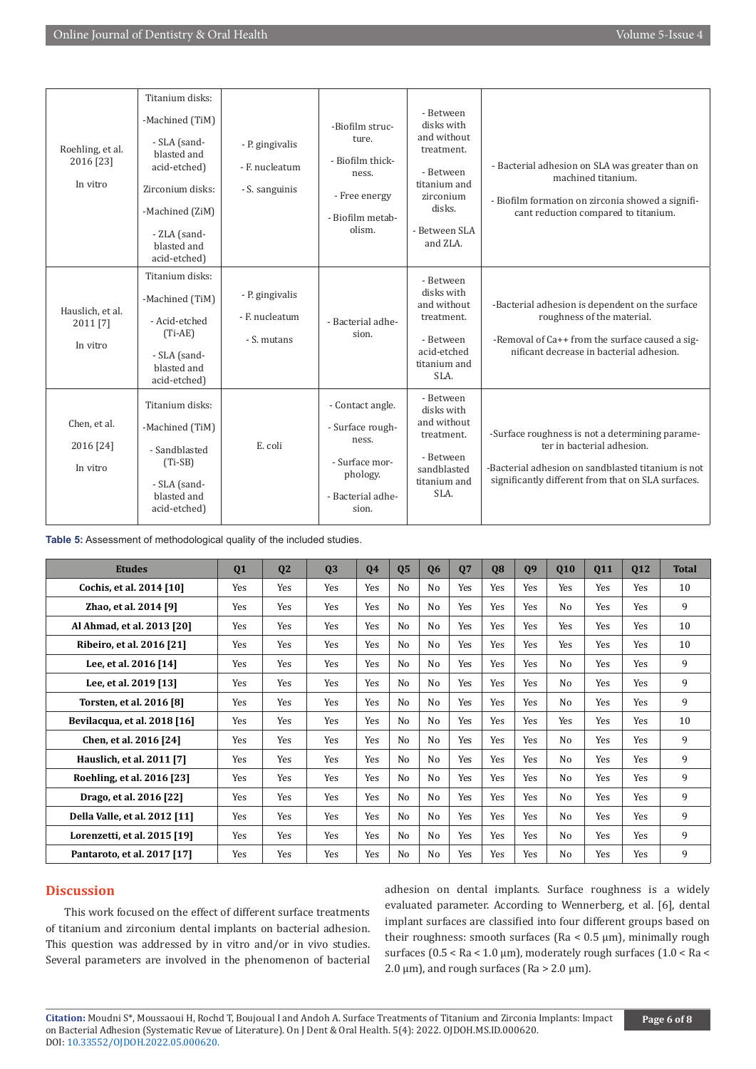| Roehling, et al.<br>2016 [23]<br>In vitro | Titanium disks:<br>-Machined (TiM)<br>- SLA (sand-<br>blasted and<br>acid-etched)<br>Zirconium disks:<br>-Machined (ZiM)<br>- ZLA (sand-<br>blasted and<br>acid-etched) | - P. gingivalis<br>- F. nucleatum<br>- S. sanguinis | -Biofilm struc-<br>ture.<br>- Biofilm thick-<br>ness.<br>- Free energy<br>- Biofilm metab-<br>olism.      | - Between<br>disks with<br>and without<br>treatment.<br>- Between<br>titanium and<br>zirconium<br>disks.<br>- Between SLA<br>and ZLA. | - Bacterial adhesion on SLA was greater than on<br>machined titanium.<br>- Biofilm formation on zirconia showed a signifi-<br>cant reduction compared to titanium.                        |
|-------------------------------------------|-------------------------------------------------------------------------------------------------------------------------------------------------------------------------|-----------------------------------------------------|-----------------------------------------------------------------------------------------------------------|---------------------------------------------------------------------------------------------------------------------------------------|-------------------------------------------------------------------------------------------------------------------------------------------------------------------------------------------|
| Hauslich, et al.<br>2011 [7]<br>In vitro  | Titanium disks:<br>-Machined (TiM)<br>- Acid-etched<br>$(Ti-AE)$<br>- SLA (sand-<br>blasted and<br>acid-etched)                                                         | - P. gingivalis<br>- E. nucleatum<br>- S. mutans    | - Bacterial adhe-<br>sion.                                                                                | - Between<br>disks with<br>and without<br>treatment.<br>- Between<br>acid-etched<br>titanium and<br>SLA.                              | -Bacterial adhesion is dependent on the surface<br>roughness of the material.<br>-Removal of Ca++ from the surface caused a sig-<br>nificant decrease in bacterial adhesion.              |
| Chen, et al.<br>2016 [24]<br>In vitro     | Titanium disks:<br>-Machined (TiM)<br>- Sandblasted<br>$(Ti-SB)$<br>- SLA (sand-<br>blasted and<br>acid-etched)                                                         | E. coli                                             | - Contact angle.<br>- Surface rough-<br>ness.<br>- Surface mor-<br>phology.<br>- Bacterial adhe-<br>sion. | - Between<br>disks with<br>and without<br>treatment.<br>- Between<br>sandblasted<br>titanium and<br>SLA.                              | -Surface roughness is not a determining parame-<br>ter in bacterial adhesion.<br>-Bacterial adhesion on sandblasted titanium is not<br>significantly different from that on SLA surfaces. |

**Table 5:** Assessment of methodological quality of the included studies.

| <b>Etudes</b>                 | 01  | 02  | 03         | 04  | 05  | 06             | 07  | 08         | 09         | 010            | 011        | 012 | <b>Total</b> |
|-------------------------------|-----|-----|------------|-----|-----|----------------|-----|------------|------------|----------------|------------|-----|--------------|
| Cochis, et al. 2014 [10]      | Yes | Yes | Yes        | Yes | No. | N <sub>0</sub> | Yes | Yes        | <b>Yes</b> | <b>Yes</b>     | <b>Yes</b> | Yes | 10           |
| Zhao, et al. 2014 [9]         | Yes | Yes | Yes        | Yes | No  | No             | Yes | Yes        | Yes        | No             | <b>Yes</b> | Yes | 9            |
| Al Ahmad, et al. 2013 [20]    | Yes | Yes | Yes        | Yes | No  | No             | Yes | Yes        | Yes        | <b>Yes</b>     | Yes        | Yes | 10           |
| Ribeiro, et al. 2016 [21]     | Yes | Yes | Yes        | Yes | No  | No             | Yes | Yes        | <b>Yes</b> | <b>Yes</b>     | <b>Yes</b> | Yes | 10           |
| Lee, et al. 2016 [14]         | Yes | Yes | Yes        | Yes | No  | No             | Yes | Yes        | Yes        | N <sub>0</sub> | Yes        | Yes | 9            |
| Lee, et al. 2019 [13]         | Yes | Yes | Yes        | Yes | No  | No             | Yes | <b>Yes</b> | <b>Yes</b> | No             | <b>Yes</b> | Yes | 9            |
| Torsten, et al. 2016 [8]      | Yes | Yes | Yes        | Yes | No  | No             | Yes | Yes        | Yes        | No             | Yes        | Yes | 9            |
| Bevilacqua, et al. 2018 [16]  | Yes | Yes | Yes        | Yes | No  | No             | Yes | Yes        | Yes        | Yes            | Yes        | Yes | 10           |
| Chen, et al. 2016 [24]        | Yes | Yes | Yes        | Yes | No  | No             | Yes | Yes        | Yes        | No             | Yes        | Yes | 9            |
| Hauslich, et al. 2011 [7]     | Yes | Yes | Yes        | Yes | No  | No             | Yes | <b>Yes</b> | <b>Yes</b> | N <sub>0</sub> | <b>Yes</b> | Yes | 9            |
| Roehling, et al. 2016 [23]    | Yes | Yes | Yes        | Yes | No  | No             | Yes | Yes        | Yes        | No             | <b>Yes</b> | Yes | 9            |
| Drago, et al. 2016 [22]       | Yes | Yes | <b>Yes</b> | Yes | No  | No             | Yes | Yes        | <b>Yes</b> | No             | <b>Yes</b> | Yes | 9            |
| Della Valle, et al. 2012 [11] | Yes | Yes | Yes        | Yes | No  | No             | Yes | Yes        | Yes        | No             | Yes        | Yes | 9            |
| Lorenzetti, et al. 2015 [19]  | Yes | Yes | Yes        | Yes | No  | No             | Yes | <b>Yes</b> | Yes        | No             | <b>Yes</b> | Yes | 9            |
| Pantaroto, et al. 2017 [17]   | Yes | Yes | Yes        | Yes | No  | No             | Yes | Yes        | <b>Yes</b> | N <sub>0</sub> | <b>Yes</b> | Yes | 9            |

# **Discussion**

This work focused on the effect of different surface treatments of titanium and zirconium dental implants on bacterial adhesion. This question was addressed by in vitro and/or in vivo studies. Several parameters are involved in the phenomenon of bacterial

adhesion on dental implants. Surface roughness is a widely evaluated parameter. According to Wennerberg, et al. [6], dental implant surfaces are classified into four different groups based on their roughness: smooth surfaces (Ra < 0.5 μm), minimally rough surfaces (0.5 < Ra < 1.0 μm), moderately rough surfaces (1.0 < Ra <  $2.0 \text{ }\mu\text{m}$ ), and rough surfaces (Ra >  $2.0 \text{ }\mu\text{m}$ ).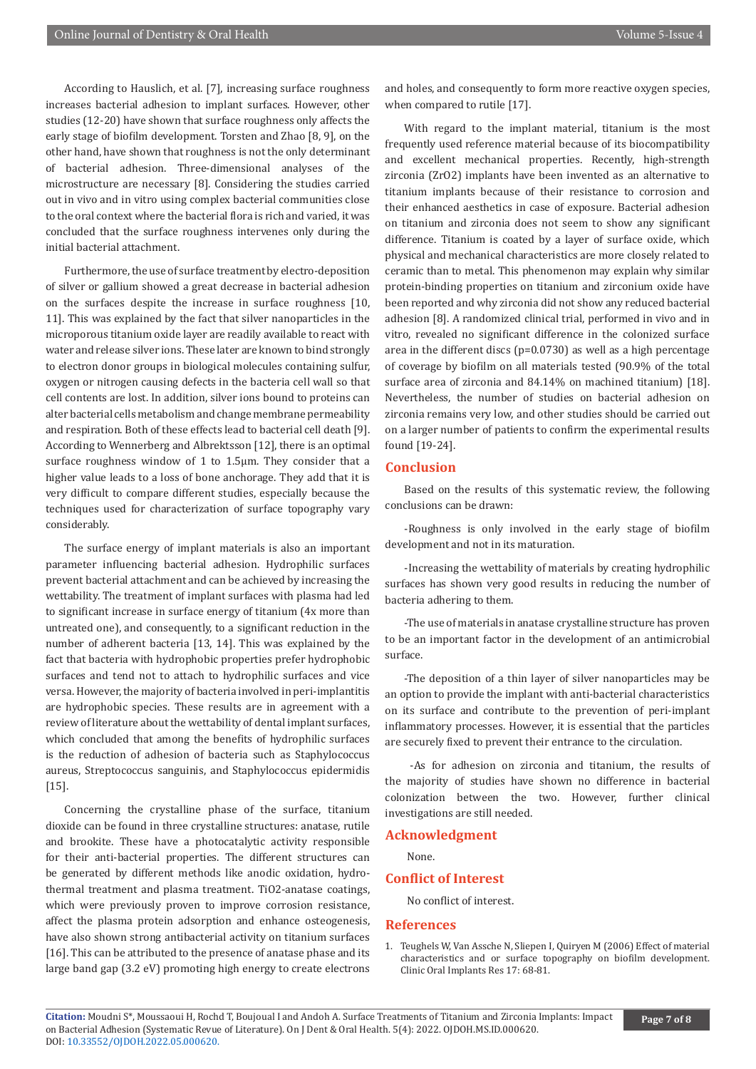According to Hauslich, et al. [7], increasing surface roughness increases bacterial adhesion to implant surfaces. However, other studies (12-20) have shown that surface roughness only affects the early stage of biofilm development. Torsten and Zhao [8, 9], on the other hand, have shown that roughness is not the only determinant of bacterial adhesion. Three-dimensional analyses of the microstructure are necessary [8]. Considering the studies carried out in vivo and in vitro using complex bacterial communities close to the oral context where the bacterial flora is rich and varied, it was concluded that the surface roughness intervenes only during the initial bacterial attachment.

Furthermore, the use of surface treatment by electro-deposition of silver or gallium showed a great decrease in bacterial adhesion on the surfaces despite the increase in surface roughness [10, 11]. This was explained by the fact that silver nanoparticles in the microporous titanium oxide layer are readily available to react with water and release silver ions. These later are known to bind strongly to electron donor groups in biological molecules containing sulfur, oxygen or nitrogen causing defects in the bacteria cell wall so that cell contents are lost. In addition, silver ions bound to proteins can alter bacterial cells metabolism and change membrane permeability and respiration. Both of these effects lead to bacterial cell death [9]. According to Wennerberg and Albrektsson [12], there is an optimal surface roughness window of 1 to 1.5μm. They consider that a higher value leads to a loss of bone anchorage. They add that it is very difficult to compare different studies, especially because the techniques used for characterization of surface topography vary considerably.

The surface energy of implant materials is also an important parameter influencing bacterial adhesion. Hydrophilic surfaces prevent bacterial attachment and can be achieved by increasing the wettability. The treatment of implant surfaces with plasma had led to significant increase in surface energy of titanium (4x more than untreated one), and consequently, to a significant reduction in the number of adherent bacteria [13, 14]. This was explained by the fact that bacteria with hydrophobic properties prefer hydrophobic surfaces and tend not to attach to hydrophilic surfaces and vice versa. However, the majority of bacteria involved in peri-implantitis are hydrophobic species. These results are in agreement with a review of literature about the wettability of dental implant surfaces, which concluded that among the benefits of hydrophilic surfaces is the reduction of adhesion of bacteria such as Staphylococcus aureus, Streptococcus sanguinis, and Staphylococcus epidermidis [15].

Concerning the crystalline phase of the surface, titanium dioxide can be found in three crystalline structures: anatase, rutile and brookite. These have a photocatalytic activity responsible for their anti-bacterial properties. The different structures can be generated by different methods like anodic oxidation, hydrothermal treatment and plasma treatment. TiO2-anatase coatings, which were previously proven to improve corrosion resistance, affect the plasma protein adsorption and enhance osteogenesis, have also shown strong antibacterial activity on titanium surfaces [16]. This can be attributed to the presence of anatase phase and its large band gap (3.2 eV) promoting high energy to create electrons

and holes, and consequently to form more reactive oxygen species, when compared to rutile [17].

With regard to the implant material, titanium is the most frequently used reference material because of its biocompatibility and excellent mechanical properties. Recently, high-strength zirconia (ZrO2) implants have been invented as an alternative to titanium implants because of their resistance to corrosion and their enhanced aesthetics in case of exposure. Bacterial adhesion on titanium and zirconia does not seem to show any significant difference. Titanium is coated by a layer of surface oxide, which physical and mechanical characteristics are more closely related to ceramic than to metal. This phenomenon may explain why similar protein-binding properties on titanium and zirconium oxide have been reported and why zirconia did not show any reduced bacterial adhesion [8]. A randomized clinical trial, performed in vivo and in vitro, revealed no significant difference in the colonized surface area in the different discs (p=0.0730) as well as a high percentage of coverage by biofilm on all materials tested (90.9% of the total surface area of zirconia and 84.14% on machined titanium) [18]. Nevertheless, the number of studies on bacterial adhesion on zirconia remains very low, and other studies should be carried out on a larger number of patients to confirm the experimental results found [19-24].

## **Conclusion**

Based on the results of this systematic review, the following conclusions can be drawn:

-Roughness is only involved in the early stage of biofilm development and not in its maturation.

-Increasing the wettability of materials by creating hydrophilic surfaces has shown very good results in reducing the number of bacteria adhering to them.

-The use of materials in anatase crystalline structure has proven to be an important factor in the development of an antimicrobial surface.

-The deposition of a thin layer of silver nanoparticles may be an option to provide the implant with anti-bacterial characteristics on its surface and contribute to the prevention of peri-implant inflammatory processes. However, it is essential that the particles are securely fixed to prevent their entrance to the circulation.

 -As for adhesion on zirconia and titanium, the results of the majority of studies have shown no difference in bacterial colonization between the two. However, further clinical investigations are still needed.

#### **Acknowledgment**

None.

#### **Conflict of Interest**

No conflict of interest.

#### **References**

1. [Teughels W, Van Assche N, Sliepen I, Quiryen M \(2006\) Effect of material](https://pubmed.ncbi.nlm.nih.gov/16968383/) [characteristics and or surface topography on biofilm development.](https://pubmed.ncbi.nlm.nih.gov/16968383/) [Clinic Oral Implants Res 17: 68-81.](https://pubmed.ncbi.nlm.nih.gov/16968383/)